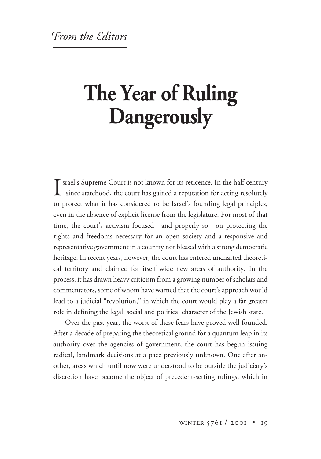## **The Year of Ruling Dangerously**

I srael's Supreme Court is not known for its reticence. In the half century<br>since statehood, the court has gained a reputation for acting resolutely since statehood, the court has gained a reputation for acting resolutely to protect what it has considered to be Israel's founding legal principles, even in the absence of explicit license from the legislature. For most of that time, the court's activism focused—and properly so—on protecting the rights and freedoms necessary for an open society and a responsive and representative government in a country not blessed with a strong democratic heritage. In recent years, however, the court has entered uncharted theoretical territory and claimed for itself wide new areas of authority. In the process, it has drawn heavy criticism from a growing number of scholars and commentators, some of whom have warned that the court's approach would lead to a judicial "revolution," in which the court would play a far greater role in defining the legal, social and political character of the Jewish state.

Over the past year, the worst of these fears have proved well founded. After a decade of preparing the theoretical ground for a quantum leap in its authority over the agencies of government, the court has begun issuing radical, landmark decisions at a pace previously unknown. One after another, areas which until now were understood to be outside the judiciary's discretion have become the object of precedent-setting rulings, which in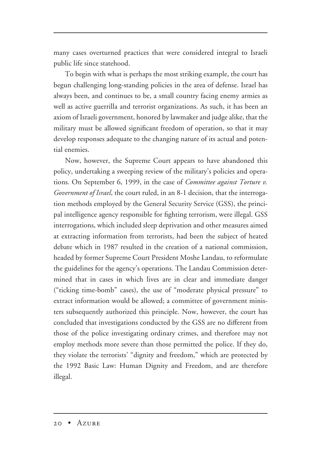many cases overturned practices that were considered integral to Israeli public life since statehood.

To begin with what is perhaps the most striking example, the court has begun challenging long-standing policies in the area of defense. Israel has always been, and continues to be, a small country facing enemy armies as well as active guerrilla and terrorist organizations. As such, it has been an axiom of Israeli government, honored by lawmaker and judge alike, that the military must be allowed significant freedom of operation, so that it may develop responses adequate to the changing nature of its actual and potential enemies.

Now, however, the Supreme Court appears to have abandoned this policy, undertaking a sweeping review of the military's policies and operations. On September 6, 1999, in the case of *Committee against Torture v. Government of Israel*, the court ruled, in an 8-1 decision, that the interrogation methods employed by the General Security Service (GSS), the principal intelligence agency responsible for fighting terrorism, were illegal. GSS interrogations, which included sleep deprivation and other measures aimed at extracting information from terrorists, had been the subject of heated debate which in 1987 resulted in the creation of a national commission, headed by former Supreme Court President Moshe Landau, to reformulate the guidelines for the agency's operations. The Landau Commission determined that in cases in which lives are in clear and immediate danger ("ticking time-bomb" cases), the use of "moderate physical pressure" to extract information would be allowed; a committee of government ministers subsequently authorized this principle. Now, however, the court has concluded that investigations conducted by the GSS are no different from those of the police investigating ordinary crimes, and therefore may not employ methods more severe than those permitted the police. If they do, they violate the terrorists' "dignity and freedom," which are protected by the 1992 Basic Law: Human Dignity and Freedom, and are therefore illegal.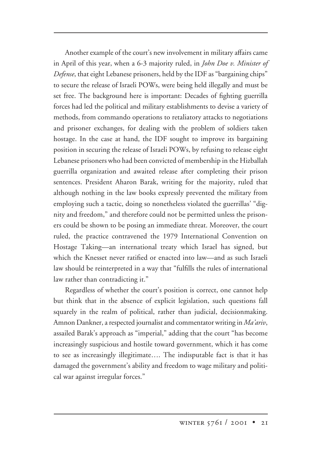Another example of the court's new involvement in military affairs came in April of this year, when a 6-3 majority ruled, in *John Doe v. Minister of Defense*, that eight Lebanese prisoners, held by the IDF as "bargaining chips" to secure the release of Israeli POWs, were being held illegally and must be set free. The background here is important: Decades of fighting guerrilla forces had led the political and military establishments to devise a variety of methods, from commando operations to retaliatory attacks to negotiations and prisoner exchanges, for dealing with the problem of soldiers taken hostage. In the case at hand, the IDF sought to improve its bargaining position in securing the release of Israeli POWs, by refusing to release eight Lebanese prisoners who had been convicted of membership in the Hizballah guerrilla organization and awaited release after completing their prison sentences. President Aharon Barak, writing for the majority, ruled that although nothing in the law books expressly prevented the military from employing such a tactic, doing so nonetheless violated the guerrillas' "dignity and freedom," and therefore could not be permitted unless the prisoners could be shown to be posing an immediate threat. Moreover, the court ruled, the practice contravened the 1979 International Convention on Hostage Taking—an international treaty which Israel has signed, but which the Knesset never ratified or enacted into law—and as such Israeli law should be reinterpreted in a way that "fulfills the rules of international law rather than contradicting it."

Regardless of whether the court's position is correct, one cannot help but think that in the absence of explicit legislation, such questions fall squarely in the realm of political, rather than judicial, decisionmaking. Amnon Dankner, a respected journalist and commentator writing in *Ma'ariv*, assailed Barak's approach as "imperial," adding that the court "has become increasingly suspicious and hostile toward government, which it has come to see as increasingly illegitimate…. The indisputable fact is that it has damaged the government's ability and freedom to wage military and political war against irregular forces."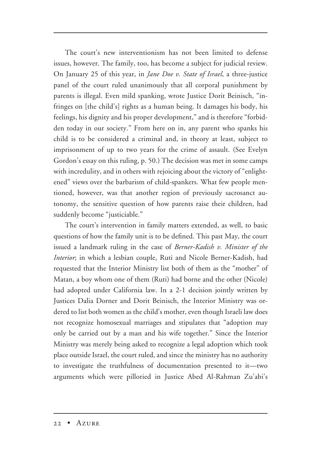The court's new interventionism has not been limited to defense issues, however. The family, too, has become a subject for judicial review. On January 25 of this year, in *Jane Doe v. State of Israel*, a three-justice panel of the court ruled unanimously that all corporal punishment by parents is illegal. Even mild spanking, wrote Justice Dorit Beinisch, "infringes on [the child's] rights as a human being. It damages his body, his feelings, his dignity and his proper development," and is therefore "forbidden today in our society." From here on in, any parent who spanks his child is to be considered a criminal and, in theory at least, subject to imprisonment of up to two years for the crime of assault. (See Evelyn Gordon's essay on this ruling, p. 50.) The decision was met in some camps with incredulity, and in others with rejoicing about the victory of "enlightened" views over the barbarism of child-spankers. What few people mentioned, however, was that another region of previously sacrosanct autonomy, the sensitive question of how parents raise their children, had suddenly become "justiciable."

The court's intervention in family matters extended, as well, to basic questions of how the family unit is to be defined. This past May, the court issued a landmark ruling in the case of *Berner-Kadish v. Minister of the Interior*; in which a lesbian couple, Ruti and Nicole Berner-Kadish, had requested that the Interior Ministry list both of them as the "mother" of Matan, a boy whom one of them (Ruti) had borne and the other (Nicole) had adopted under California law. In a 2-1 decision jointly written by Justices Dalia Dorner and Dorit Beinisch, the Interior Ministry was ordered to list both women as the child's mother, even though Israeli law does not recognize homosexual marriages and stipulates that "adoption may only be carried out by a man and his wife together." Since the Interior Ministry was merely being asked to recognize a legal adoption which took place outside Israel, the court ruled, and since the ministry has no authority to investigate the truthfulness of documentation presented to it—two arguments which were pilloried in Justice Abed Al-Rahman Zu'abi's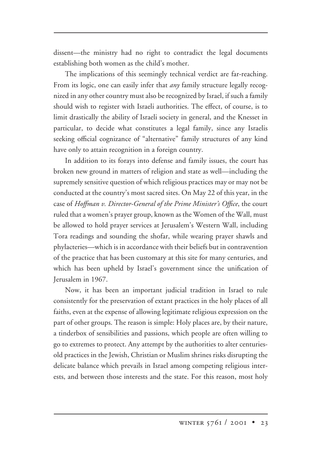dissent—the ministry had no right to contradict the legal documents establishing both women as the child's mother.

The implications of this seemingly technical verdict are far-reaching. From its logic, one can easily infer that *any* family structure legally recognized in any other country must also be recognized by Israel, if such a family should wish to register with Israeli authorities. The effect, of course, is to limit drastically the ability of Israeli society in general, and the Knesset in particular, to decide what constitutes a legal family, since any Israelis seeking official cognizance of "alternative" family structures of any kind have only to attain recognition in a foreign country.

In addition to its forays into defense and family issues, the court has broken new ground in matters of religion and state as well—including the supremely sensitive question of which religious practices may or may not be conducted at the country's most sacred sites. On May 22 of this year, in the case of *Hoffman v. Director-General of the Prime Minister's Office*, the court ruled that a women's prayer group, known as the Women of the Wall, must be allowed to hold prayer services at Jerusalem's Western Wall, including Tora readings and sounding the shofar, while wearing prayer shawls and phylacteries—which is in accordance with their beliefs but in contravention of the practice that has been customary at this site for many centuries, and which has been upheld by Israel's government since the unification of Jerusalem in 1967.

Now, it has been an important judicial tradition in Israel to rule consistently for the preservation of extant practices in the holy places of all faiths, even at the expense of allowing legitimate religious expression on the part of other groups. The reason is simple: Holy places are, by their nature, a tinderbox of sensibilities and passions, which people are often willing to go to extremes to protect. Any attempt by the authorities to alter centuriesold practices in the Jewish, Christian or Muslim shrines risks disrupting the delicate balance which prevails in Israel among competing religious interests, and between those interests and the state. For this reason, most holy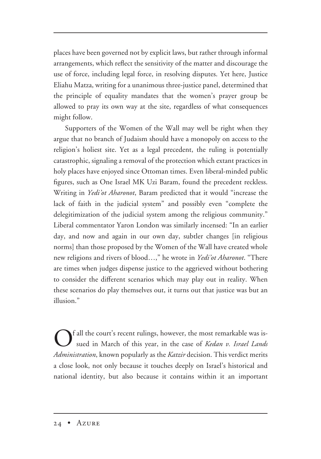places have been governed not by explicit laws, but rather through informal arrangements, which reflect the sensitivity of the matter and discourage the use of force, including legal force, in resolving disputes. Yet here, Justice Eliahu Matza, writing for a unanimous three-justice panel, determined that the principle of equality mandates that the women's prayer group be allowed to pray its own way at the site, regardless of what consequences might follow.

Supporters of the Women of the Wall may well be right when they argue that no branch of Judaism should have a monopoly on access to the religion's holiest site. Yet as a legal precedent, the ruling is potentially catastrophic, signaling a removal of the protection which extant practices in holy places have enjoyed since Ottoman times. Even liberal-minded public figures, such as One Israel MK Uzi Baram, found the precedent reckless. Writing in *Yedi'ot Aharonot*, Baram predicted that it would "increase the lack of faith in the judicial system" and possibly even "complete the delegitimization of the judicial system among the religious community." Liberal commentator Yaron London was similarly incensed: "In an earlier day, and now and again in our own day, subtler changes [in religious norms] than those proposed by the Women of the Wall have created whole new religions and rivers of blood…," he wrote in *Yedi'ot Aharonot*. "There are times when judges dispense justice to the aggrieved without bothering to consider the different scenarios which may play out in reality. When these scenarios do play themselves out, it turns out that justice was but an illusion."

If all the court's recent rulings, however, the most remarkable was issued in March of this year, in the case of *Kedan v. Israel Lands Administration*, known popularly as the *Katzir* decision. This verdict merits a close look, not only because it touches deeply on Israel's historical and national identity, but also because it contains within it an important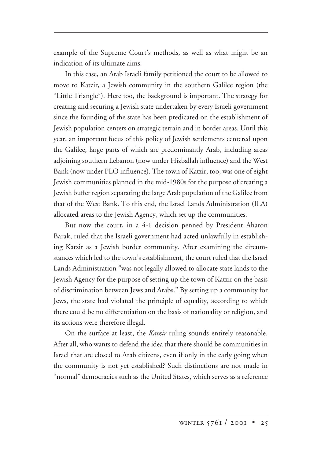example of the Supreme Court's methods, as well as what might be an indication of its ultimate aims.

In this case, an Arab Israeli family petitioned the court to be allowed to move to Katzir, a Jewish community in the southern Galilee region (the "Little Triangle"). Here too, the background is important. The strategy for creating and securing a Jewish state undertaken by every Israeli government since the founding of the state has been predicated on the establishment of Jewish population centers on strategic terrain and in border areas. Until this year, an important focus of this policy of Jewish settlements centered upon the Galilee, large parts of which are predominantly Arab, including areas adjoining southern Lebanon (now under Hizballah influence) and the West Bank (now under PLO influence). The town of Katzir, too, was one of eight Jewish communities planned in the mid-1980s for the purpose of creating a Jewish buffer region separating the large Arab population of the Galilee from that of the West Bank. To this end, the Israel Lands Administration (ILA) allocated areas to the Jewish Agency, which set up the communities.

But now the court, in a 4-1 decision penned by President Aharon Barak, ruled that the Israeli government had acted unlawfully in establishing Katzir as a Jewish border community. After examining the circumstances which led to the town's establishment, the court ruled that the Israel Lands Administration "was not legally allowed to allocate state lands to the Jewish Agency for the purpose of setting up the town of Katzir on the basis of discrimination between Jews and Arabs." By setting up a community for Jews, the state had violated the principle of equality, according to which there could be no differentiation on the basis of nationality or religion, and its actions were therefore illegal.

On the surface at least, the *Katzir* ruling sounds entirely reasonable. After all, who wants to defend the idea that there should be communities in Israel that are closed to Arab citizens, even if only in the early going when the community is not yet established? Such distinctions are not made in "normal" democracies such as the United States, which serves as a reference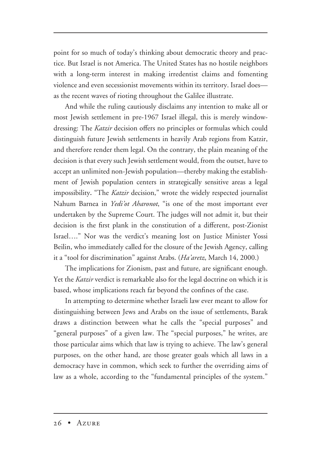point for so much of today's thinking about democratic theory and practice. But Israel is not America. The United States has no hostile neighbors with a long-term interest in making irredentist claims and fomenting violence and even secessionist movements within its territory. Israel does as the recent waves of rioting throughout the Galilee illustrate.

And while the ruling cautiously disclaims any intention to make all or most Jewish settlement in pre-1967 Israel illegal, this is merely windowdressing: The *Katzir* decision offers no principles or formulas which could distinguish future Jewish settlements in heavily Arab regions from Katzir, and therefore render them legal. On the contrary, the plain meaning of the decision is that every such Jewish settlement would, from the outset, have to accept an unlimited non-Jewish population—thereby making the establishment of Jewish population centers in strategically sensitive areas a legal impossibility**.** "The *Katzir* decision," wrote the widely respected journalist Nahum Barnea in *Yedi'ot Aharonot*, "is one of the most important ever undertaken by the Supreme Court. The judges will not admit it, but their decision is the first plank in the constitution of a different, post-Zionist Israel…." Nor was the verdict's meaning lost on Justice Minister Yossi Beilin, who immediately called for the closure of the Jewish Agency, calling it a "tool for discrimination" against Arabs. (*Ha'aretz*, March 14, 2000.)

The implications for Zionism, past and future, are significant enough. Yet the *Katzir* verdict is remarkable also for the legal doctrine on which it is based, whose implications reach far beyond the confines of the case.

In attempting to determine whether Israeli law ever meant to allow for distinguishing between Jews and Arabs on the issue of settlements, Barak draws a distinction between what he calls the "special purposes" and "general purposes" of a given law. The "special purposes," he writes, are those particular aims which that law is trying to achieve. The law's general purposes, on the other hand, are those greater goals which all laws in a democracy have in common, which seek to further the overriding aims of law as a whole, according to the "fundamental principles of the system."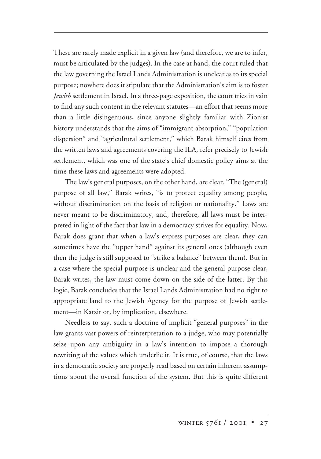These are rarely made explicit in a given law (and therefore, we are to infer, must be articulated by the judges). In the case at hand, the court ruled that the law governing the Israel Lands Administration is unclear as to its special purpose; nowhere does it stipulate that the Administration's aim is to foster *Jewish* settlement in Israel. In a three-page exposition, the court tries in vain to find any such content in the relevant statutes—an effort that seems more than a little disingenuous, since anyone slightly familiar with Zionist history understands that the aims of "immigrant absorption," "population dispersion" and "agricultural settlement," which Barak himself cites from the written laws and agreements covering the ILA, refer precisely to Jewish settlement, which was one of the state's chief domestic policy aims at the time these laws and agreements were adopted.

The law's general purposes, on the other hand, are clear. "The (general) purpose of all law," Barak writes, "is to protect equality among people, without discrimination on the basis of religion or nationality." Laws are never meant to be discriminatory, and, therefore, all laws must be interpreted in light of the fact that law in a democracy strives for equality. Now, Barak does grant that when a law's express purposes are clear, they can sometimes have the "upper hand" against its general ones (although even then the judge is still supposed to "strike a balance" between them). But in a case where the special purpose is unclear and the general purpose clear, Barak writes, the law must come down on the side of the latter. By this logic, Barak concludes that the Israel Lands Administration had no right to appropriate land to the Jewish Agency for the purpose of Jewish settlement—in Katzir or, by implication, elsewhere.

Needless to say, such a doctrine of implicit "general purposes" in the law grants vast powers of reinterpretation to a judge, who may potentially seize upon any ambiguity in a law's intention to impose a thorough rewriting of the values which underlie it. It is true, of course, that the laws in a democratic society are properly read based on certain inherent assumptions about the overall function of the system. But this is quite different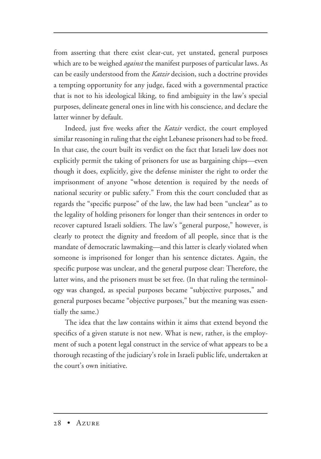from asserting that there exist clear-cut, yet unstated, general purposes which are to be weighed *against* the manifest purposes of particular laws. As can be easily understood from the *Katzir* decision, such a doctrine provides a tempting opportunity for any judge, faced with a governmental practice that is not to his ideological liking, to find ambiguity in the law's special purposes, delineate general ones in line with his conscience, and declare the latter winner by default.

Indeed, just five weeks after the *Katzir* verdict, the court employed similar reasoning in ruling that the eight Lebanese prisoners had to be freed. In that case, the court built its verdict on the fact that Israeli law does not explicitly permit the taking of prisoners for use as bargaining chips—even though it does, explicitly, give the defense minister the right to order the imprisonment of anyone "whose detention is required by the needs of national security or public safety." From this the court concluded that as regards the "specific purpose" of the law, the law had been "unclear" as to the legality of holding prisoners for longer than their sentences in order to recover captured Israeli soldiers. The law's "general purpose," however, is clearly to protect the dignity and freedom of all people, since that is the mandate of democratic lawmaking—and this latter is clearly violated when someone is imprisoned for longer than his sentence dictates. Again, the specific purpose was unclear, and the general purpose clear: Therefore, the latter wins, and the prisoners must be set free. (In that ruling the terminology was changed, as special purposes became "subjective purposes," and general purposes became "objective purposes," but the meaning was essentially the same.)

The idea that the law contains within it aims that extend beyond the specifics of a given statute is not new. What is new, rather, is the employment of such a potent legal construct in the service of what appears to be a thorough recasting of the judiciary's role in Israeli public life, undertaken at the court's own initiative.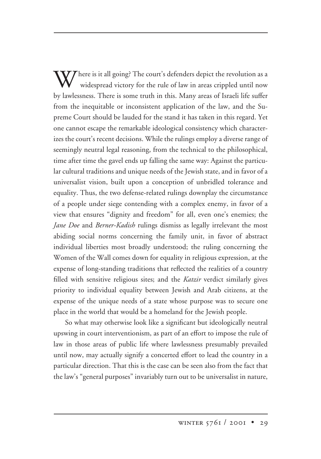$\mathbf{W}$ here is it all going? The court's defenders depict the revolution as a widespread victory for the rule of law in areas crippled until now by lawlessness. There is some truth in this. Many areas of Israeli life suffer from the inequitable or inconsistent application of the law, and the Supreme Court should be lauded for the stand it has taken in this regard. Yet one cannot escape the remarkable ideological consistency which characterizes the court's recent decisions. While the rulings employ a diverse range of seemingly neutral legal reasoning, from the technical to the philosophical, time after time the gavel ends up falling the same way: Against the particular cultural traditions and unique needs of the Jewish state, and in favor of a universalist vision, built upon a conception of unbridled tolerance and equality. Thus, the two defense-related rulings downplay the circumstance of a people under siege contending with a complex enemy, in favor of a view that ensures "dignity and freedom" for all, even one's enemies; the *Jane Doe* and *Berner-Kadish* rulings dismiss as legally irrelevant the most abiding social norms concerning the family unit, in favor of abstract individual liberties most broadly understood; the ruling concerning the Women of the Wall comes down for equality in religious expression, at the expense of long-standing traditions that reflected the realities of a country filled with sensitive religious sites; and the *Katzir* verdict similarly gives priority to individual equality between Jewish and Arab citizens, at the expense of the unique needs of a state whose purpose was to secure one place in the world that would be a homeland for the Jewish people.

So what may otherwise look like a significant but ideologically neutral upswing in court interventionism, as part of an effort to impose the rule of law in those areas of public life where lawlessness presumably prevailed until now, may actually signify a concerted effort to lead the country in a particular direction. That this is the case can be seen also from the fact that the law's "general purposes" invariably turn out to be universalist in nature,